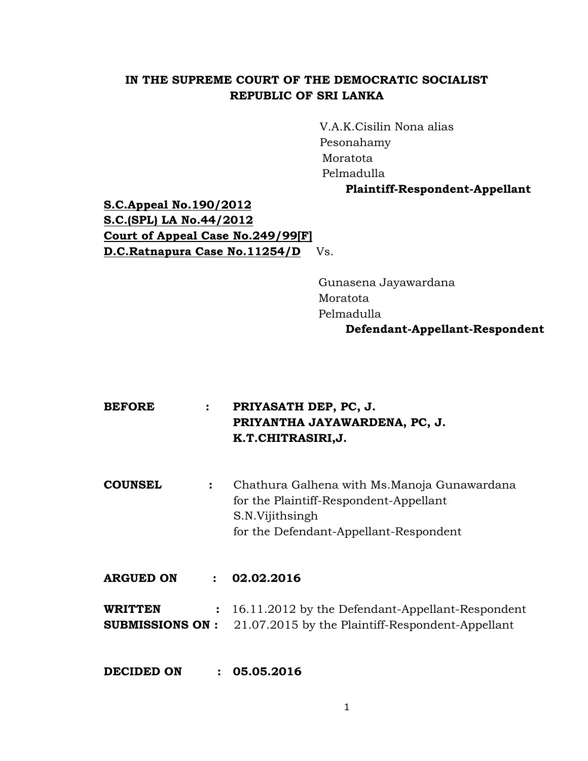# **IN THE SUPREME COURT OF THE DEMOCRATIC SOCIALIST REPUBLIC OF SRI LANKA**

V.A.K.Cisilin Nona alias Pesonahamy Moratota Pelmadulla

## **Plaintiff-Respondent-Appellant**

**S.C.Appeal No.190/2012 S.C.(SPL) LA No.44/2012 Court of Appeal Case No.249/99[F] D.C.Ratnapura Case No.11254/D** Vs.

> Gunasena Jayawardana Moratota Pelmadulla **Defendant-Appellant-Respondent**

| <b>BEFORE</b> | PRIYASATH DEP, PC, J.         |
|---------------|-------------------------------|
|               | PRIYANTHA JAYAWARDENA, PC, J. |
|               | K.T.CHITRASIRI,J.             |

**COUNSEL :** Chathura Galhena with Ms.Manoja Gunawardana for the Plaintiff-Respondent-Appellant S.N.Vijithsingh for the Defendant-Appellant-Respondent

- **ARGUED ON : 02.02.2016**
- **WRITTEN :** 16.11.2012 by the Defendant-Appellant-Respondent **SUBMISSIONS ON :** 21.07.2015 by the Plaintiff-Respondent-Appellant

**DECIDED ON : 05.05.2016**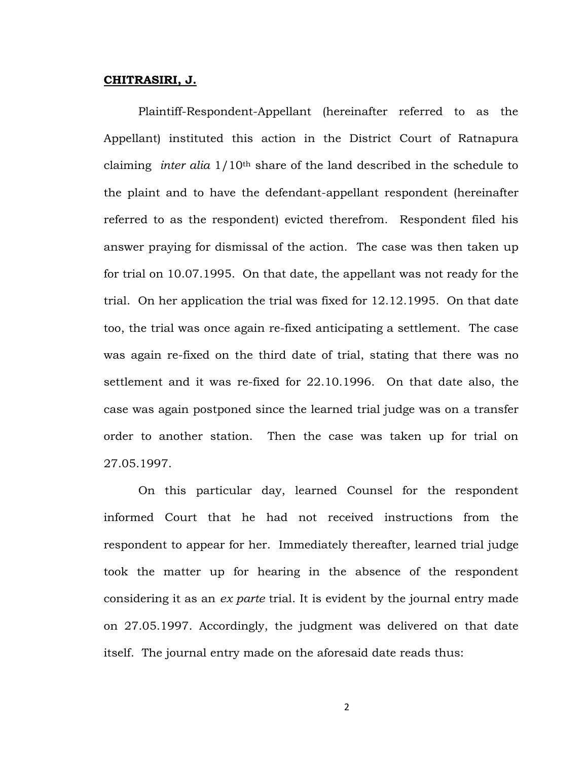#### **CHITRASIRI, J.**

Plaintiff-Respondent-Appellant (hereinafter referred to as the Appellant) instituted this action in the District Court of Ratnapura claiming *inter alia* 1/10th share of the land described in the schedule to the plaint and to have the defendant-appellant respondent (hereinafter referred to as the respondent) evicted therefrom. Respondent filed his answer praying for dismissal of the action. The case was then taken up for trial on 10.07.1995. On that date, the appellant was not ready for the trial. On her application the trial was fixed for 12.12.1995. On that date too, the trial was once again re-fixed anticipating a settlement. The case was again re-fixed on the third date of trial, stating that there was no settlement and it was re-fixed for 22.10.1996. On that date also, the case was again postponed since the learned trial judge was on a transfer order to another station. Then the case was taken up for trial on 27.05.1997.

On this particular day, learned Counsel for the respondent informed Court that he had not received instructions from the respondent to appear for her. Immediately thereafter, learned trial judge took the matter up for hearing in the absence of the respondent considering it as an *ex parte* trial. It is evident by the journal entry made on 27.05.1997. Accordingly, the judgment was delivered on that date itself. The journal entry made on the aforesaid date reads thus:

2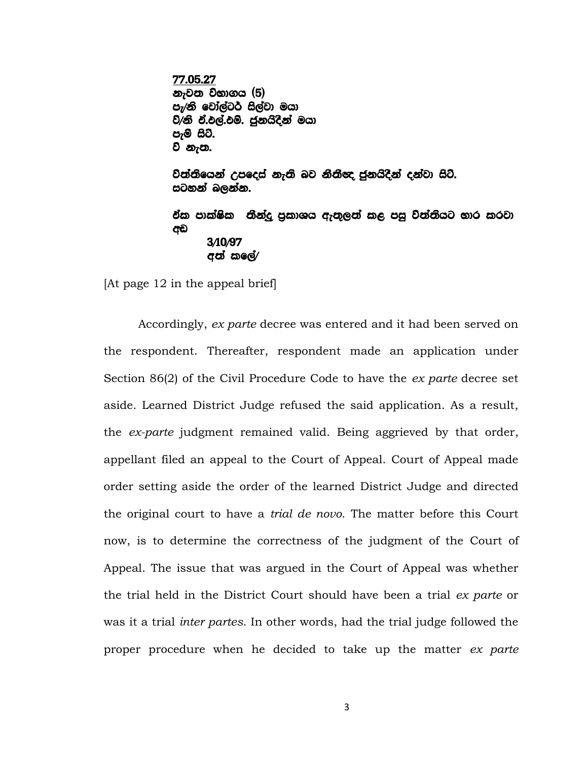77.05.27 නැවත විභාගය (5) පැ⁄නි වෝල්ටර් සිල්වා මයා ව/නි වී.එල්.එම්. ජුනයිදින් මයා පැම සිට. ව නැත.

වත්තියෙන් උපදෙස් නැති බව නීතීඥ ජුනයිදින් දන්වා සිටි. සටහන් බලන්න.

<u>ඒක පාක්ෂික නීන්දු පුකාශය ඇතුලත් කළ පසු විත්තියට භාර කරවා</u> අඩ 3/10/97 අත් කලේ $\prime$ 

[At page 12 in the appeal brief]

Accordingly, *ex parte* decree was entered and it had been served on the respondent. Thereafter, respondent made an application under Section 86(2) of the Civil Procedure Code to have the *ex parte* decree set aside. Learned District Judge refused the said application. As a result, the *ex-parte* judgment remained valid. Being aggrieved by that order, appellant filed an appeal to the Court of Appeal. Court of Appeal made order setting aside the order of the learned District Judge and directed the original court to have a *trial de novo*. The matter before this Court now, is to determine the correctness of the judgment of the Court of Appeal. The issue that was argued in the Court of Appeal was whether the trial held in the District Court should have been a trial *ex parte* or was it a trial *inter partes*. In other words, had the trial judge followed the proper procedure when he decided to take up the matter *ex parte*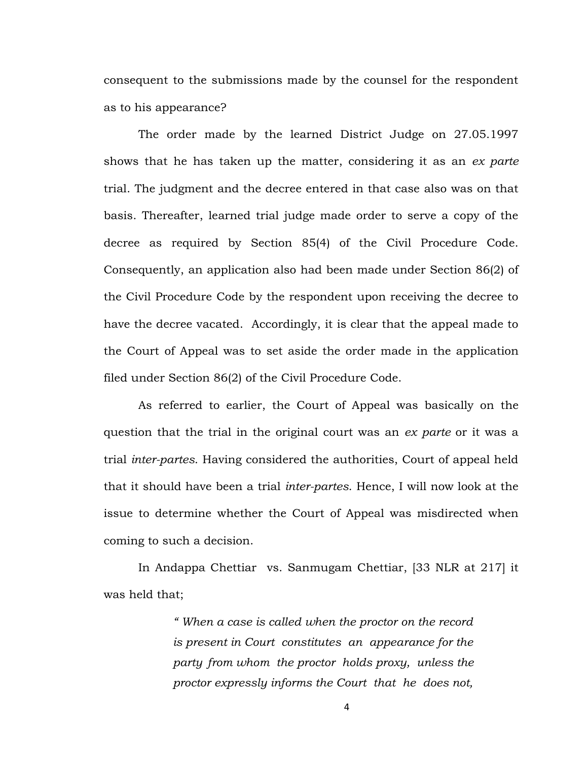consequent to the submissions made by the counsel for the respondent as to his appearance?

The order made by the learned District Judge on 27.05.1997 shows that he has taken up the matter, considering it as an *ex parte* trial. The judgment and the decree entered in that case also was on that basis. Thereafter, learned trial judge made order to serve a copy of the decree as required by Section 85(4) of the Civil Procedure Code. Consequently, an application also had been made under Section 86(2) of the Civil Procedure Code by the respondent upon receiving the decree to have the decree vacated. Accordingly, it is clear that the appeal made to the Court of Appeal was to set aside the order made in the application filed under Section 86(2) of the Civil Procedure Code.

As referred to earlier, the Court of Appeal was basically on the question that the trial in the original court was an *ex parte* or it was a trial *inter-partes*. Having considered the authorities, Court of appeal held that it should have been a trial *inter-partes*. Hence, I will now look at the issue to determine whether the Court of Appeal was misdirected when coming to such a decision.

In Andappa Chettiar vs. Sanmugam Chettiar, [33 NLR at 217] it was held that;

> *" When a case is called when the proctor on the record is present in Court constitutes an appearance for the party from whom the proctor holds proxy, unless the proctor expressly informs the Court that he does not,*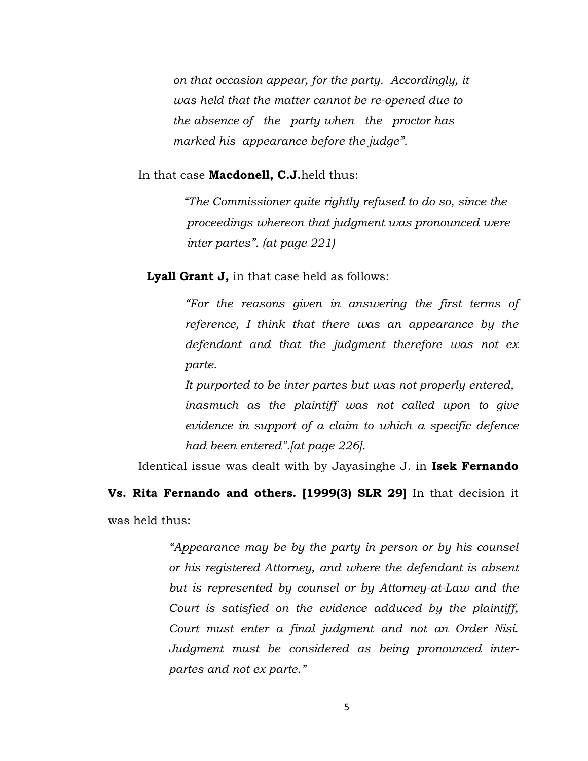*on that occasion appear, for the party. Accordingly, it was held that the matter cannot be re-opened due to the absence of the party when the proctor has marked his appearance before the judge".*

#### In that case **Macdonell, C.J.**held thus:

 *"The Commissioner quite rightly refused to do so, since the proceedings whereon that judgment was pronounced were inter partes". (at page 221)*

 **Lyall Grant J,** in that case held as follows:

*"For the reasons given in answering the first terms of reference, I think that there was an appearance by the defendant and that the judgment therefore was not ex parte.*

*It purported to be inter partes but was not properly entered, inasmuch as the plaintiff was not called upon to give evidence in support of a claim to which a specific defence had been entered".[at page 226].*

Identical issue was dealt with by Jayasinghe J. in **Isek Fernando** 

**Vs. Rita Fernando and others. [1999(3) SLR 29]** In that decision it was held thus:

> *"Appearance may be by the party in person or by his counsel or his registered Attorney, and where the defendant is absent but is represented by counsel or by Attorney-at-Law and the Court is satisfied on the evidence adduced by the plaintiff, Court must enter a final judgment and not an Order Nisi. Judgment must be considered as being pronounced interpartes and not ex parte."*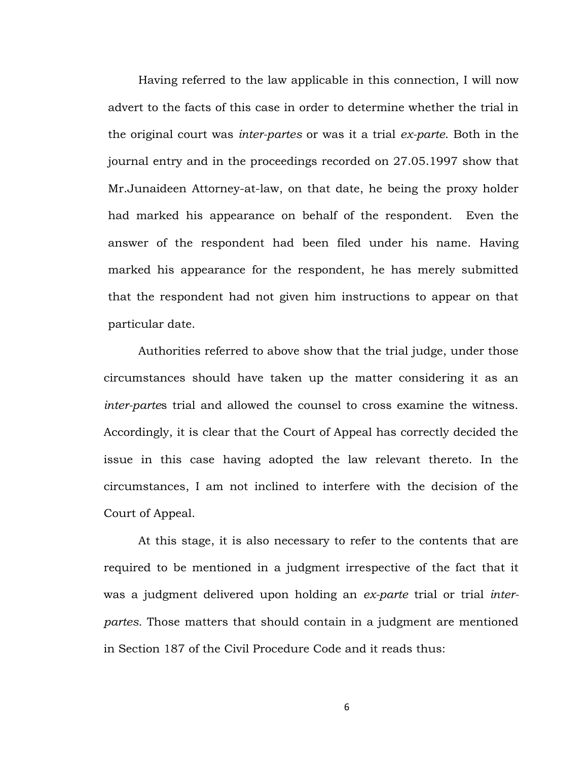Having referred to the law applicable in this connection, I will now advert to the facts of this case in order to determine whether the trial in the original court was *inter-partes* or was it a trial *ex-parte*. Both in the journal entry and in the proceedings recorded on 27.05.1997 show that Mr.Junaideen Attorney-at-law, on that date, he being the proxy holder had marked his appearance on behalf of the respondent. Even the answer of the respondent had been filed under his name. Having marked his appearance for the respondent, he has merely submitted that the respondent had not given him instructions to appear on that particular date.

Authorities referred to above show that the trial judge, under those circumstances should have taken up the matter considering it as an *inter-parte*s trial and allowed the counsel to cross examine the witness. Accordingly, it is clear that the Court of Appeal has correctly decided the issue in this case having adopted the law relevant thereto. In the circumstances, I am not inclined to interfere with the decision of the Court of Appeal.

At this stage, it is also necessary to refer to the contents that are required to be mentioned in a judgment irrespective of the fact that it was a judgment delivered upon holding an *ex-parte* trial or trial *interpartes.* Those matters that should contain in a judgment are mentioned in Section 187 of the Civil Procedure Code and it reads thus:

6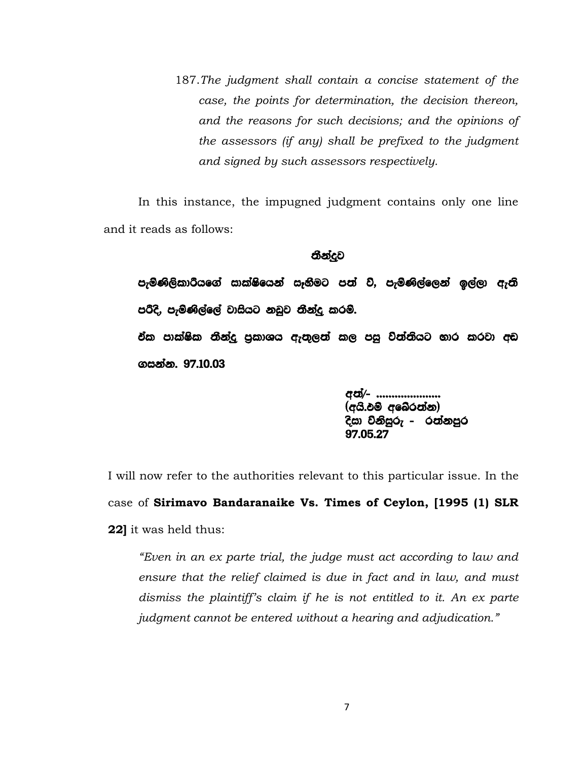187.*The judgment shall contain a concise statement of the case, the points for determination, the decision thereon, and the reasons for such decisions; and the opinions of the assessors (if any) shall be prefixed to the judgment and signed by such assessors respectively.*

In this instance, the impugned judgment contains only one line and it reads as follows:

#### තීන්දව

පැමිණිලිකාරියගේ සාක්ෂියෙන් සෑතීමට පත් වි, පැමිණිල්ලෙන් ඉල්ලා ඇති පරිදි, පැමිණිල්ලේ වාසියට නඩුව තීන්දු කරම්. ඒක පාක්ෂික තීන්දු පුකාශය ඇතුලත් කල පසු විත්තියට භාර කරවා අඩ ගසන්න. 97.10.03

අන්⁄- ………………  $(\sigma$ යි.ඵම් අබේරත්න) දිසා විනිසුරු – රත්නපුර 97'05'27

I will now refer to the authorities relevant to this particular issue. In the case of **Sirimavo Bandaranaike Vs. Times of Ceylon, [1995 (1) SLR 22]** it was held thus:

*"Even in an ex parte trial, the judge must act according to law and ensure that the relief claimed is due in fact and in law, and must dismiss the plaintiff's claim if he is not entitled to it. An ex parte judgment cannot be entered without a hearing and adjudication."*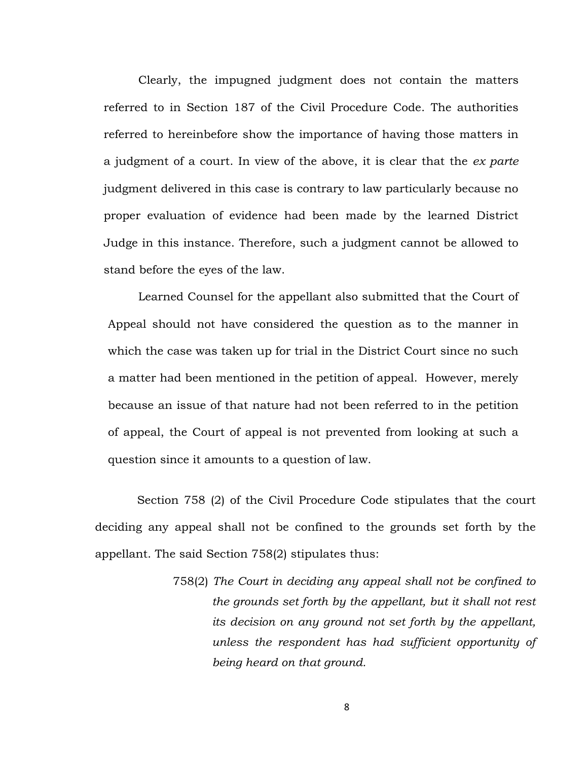Clearly, the impugned judgment does not contain the matters referred to in Section 187 of the Civil Procedure Code. The authorities referred to hereinbefore show the importance of having those matters in a judgment of a court. In view of the above, it is clear that the *ex parte* judgment delivered in this case is contrary to law particularly because no proper evaluation of evidence had been made by the learned District Judge in this instance. Therefore, such a judgment cannot be allowed to stand before the eyes of the law.

Learned Counsel for the appellant also submitted that the Court of Appeal should not have considered the question as to the manner in which the case was taken up for trial in the District Court since no such a matter had been mentioned in the petition of appeal. However, merely because an issue of that nature had not been referred to in the petition of appeal, the Court of appeal is not prevented from looking at such a question since it amounts to a question of law.

Section 758 (2) of the Civil Procedure Code stipulates that the court deciding any appeal shall not be confined to the grounds set forth by the appellant. The said Section 758(2) stipulates thus:

> 758(2) *The Court in deciding any appeal shall not be confined to the grounds set forth by the appellant, but it shall not rest its decision on any ground not set forth by the appellant, unless the respondent has had sufficient opportunity of being heard on that ground.*